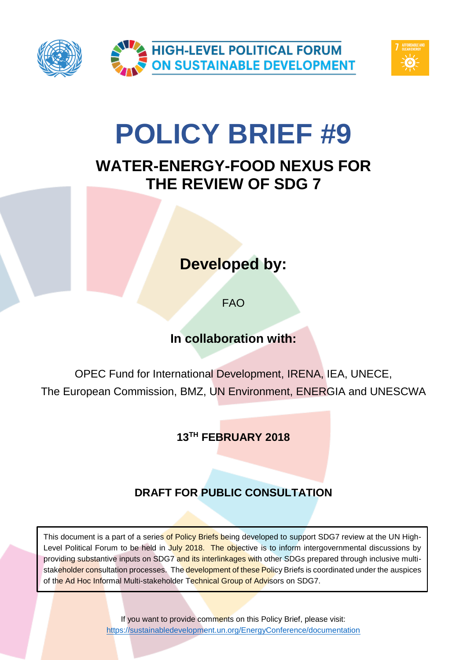



# **POLICY BRIEF #9**

# **WATER-ENERGY-FOOD NEXUS FOR THE REVIEW OF SDG 7**

# **Developed by:**

FAO

# **In collaboration with:**

OPEC Fund for International Development, IRENA, IEA, UNECE, The European Commission, BMZ, UN Environment, ENERGIA and UNESCWA

**13TH FEBRUARY 2018**

# **DRAFT FOR PUBLIC CONSULTATION**

This document is a part of a series of Policy Briefs being developed to support SDG7 review at the UN High-Level Political Forum to be held in July 2018. The objective is to inform intergovernmental discussions by providing substantive inputs on SDG7 and its interlinkages with other SDGs prepared through inclusive multistakeholder consultation processes. The development of these Policy Briefs is coordinated under the auspices of the Ad Hoc Informal Multi-stakeholder Technical Group of Advisors on SDG7.

> If you want to provide comments on this Policy Brief, please visit: <https://sustainabledevelopment.un.org/EnergyConference/documentation>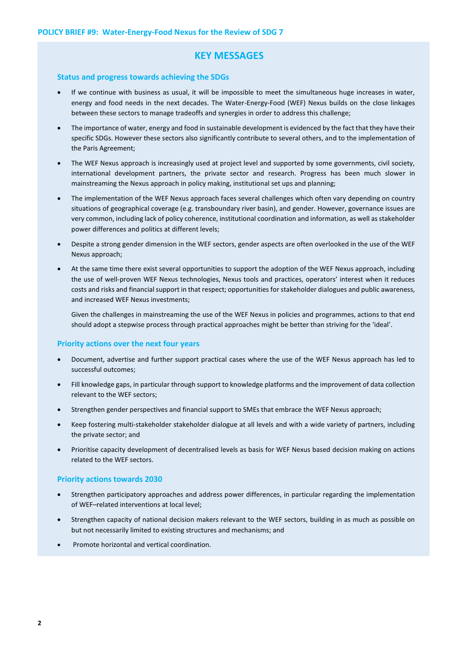# **KEY MESSAGES**

### **Status and progress towards achieving the SDGs**

- If we continue with business as usual, it will be impossible to meet the simultaneous huge increases in water, energy and food needs in the next decades. The Water-Energy-Food (WEF) Nexus builds on the close linkages between these sectors to manage tradeoffs and synergies in order to address this challenge;
- The importance of water, energy and food in sustainable development is evidenced by the fact that they have their specific SDGs. However these sectors also significantly contribute to several others, and to the implementation of the Paris Agreement;
- The WEF Nexus approach is increasingly used at project level and supported by some governments, civil society, international development partners, the private sector and research. Progress has been much slower in mainstreaming the Nexus approach in policy making, institutional set ups and planning;
- The implementation of the WEF Nexus approach faces several challenges which often vary depending on country situations of geographical coverage (e.g. transboundary river basin), and gender. However, governance issues are very common, including lack of policy coherence, institutional coordination and information, as well as stakeholder power differences and politics at different levels;
- Despite a strong gender dimension in the WEF sectors, gender aspects are often overlooked in the use of the WEF Nexus approach;
- At the same time there exist several opportunities to support the adoption of the WEF Nexus approach, including the use of well-proven WEF Nexus technologies, Nexus tools and practices, operators' interest when it reduces costs and risks and financial support in that respect; opportunities for stakeholder dialogues and public awareness, and increased WEF Nexus investments;

Given the challenges in mainstreaming the use of the WEF Nexus in policies and programmes, actions to that end should adopt a stepwise process through practical approaches might be better than striving for the 'ideal'.

### **Priority actions over the next four years**

- Document, advertise and further support practical cases where the use of the WEF Nexus approach has led to successful outcomes;
- Fill knowledge gaps, in particular through support to knowledge platforms and the improvement of data collection relevant to the WEF sectors;
- Strengthen gender perspectives and financial support to SMEs that embrace the WEF Nexus approach;
- Keep fostering multi-stakeholder stakeholder dialogue at all levels and with a wide variety of partners, including the private sector; and
- Prioritise capacity development of decentralised levels as basis for WEF Nexus based decision making on actions related to the WEF sectors.

### **Priority actions towards 2030**

- Strengthen participatory approaches and address power differences, in particular regarding the implementation of WEF–related interventions at local level;
- Strengthen capacity of national decision makers relevant to the WEF sectors, building in as much as possible on but not necessarily limited to existing structures and mechanisms; and
- Promote horizontal and vertical coordination.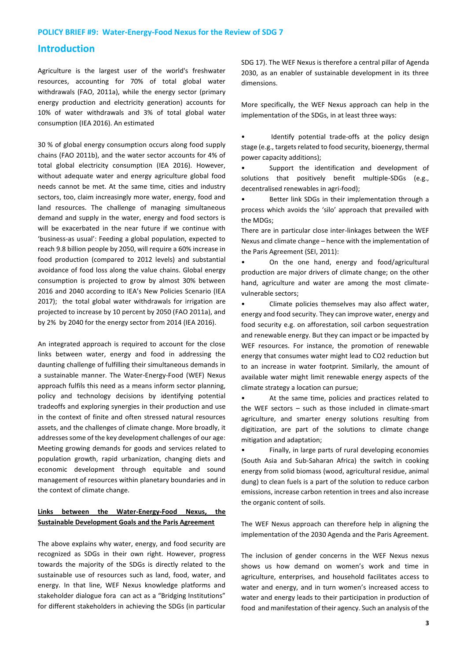# **Introduction**

Agriculture is the largest user of the world's freshwater resources, accounting for 70% of total global water withdrawals (FAO, 2011a), while the energy sector (primary energy production and electricity generation) accounts for 10% of water withdrawals and 3% of total global water consumption (IEA 2016). An estimated

30 % of global energy consumption occurs along food supply chains (FAO 2011b), and the water sector accounts for 4% of total global electricity consumption (IEA 2016). However, without adequate water and energy agriculture global food needs cannot be met. At the same time, cities and industry sectors, too, claim increasingly more water, energy, food and land resources. The challenge of managing simultaneous demand and supply in the water, energy and food sectors is will be exacerbated in the near future if we continue with 'business-as usual': Feeding a global population, expected to reach 9.8 billion people by 2050, will require a 60% increase in food production (compared to 2012 levels) and substantial avoidance of food loss along the value chains. Global energy consumption is projected to grow by almost 30% between 2016 and 2040 according to IEA's New Policies Scenario (IEA 2017); the total global water withdrawals for irrigation are projected to increase by 10 percent by 2050 (FAO 2011a), and by 2% by 2040 for the energy sector from 2014 (IEA 2016).

An integrated approach is required to account for the close links between water, energy and food in addressing the daunting challenge of fulfilling their simultaneous demands in a sustainable manner. The Water-Energy-Food (WEF) Nexus approach fulfils this need as a means inform sector planning, policy and technology decisions by identifying potential tradeoffs and exploring synergies in their production and use in the context of finite and often stressed natural resources assets, and the challenges of climate change. More broadly, it addresses some of the key development challenges of our age: Meeting growing demands for goods and services related to population growth, rapid urbanization, changing diets and economic development through equitable and sound management of resources within planetary boundaries and in the context of climate change.

# **Links between the Water-Energy-Food Nexus, the Sustainable Development Goals and the Paris Agreement**

The above explains why water, energy, and food security are recognized as SDGs in their own right. However, progress towards the majority of the SDGs is directly related to the sustainable use of resources such as land, food, water, and energy. In that line, WEF Nexus knowledge platforms and stakeholder dialogue fora can act as a "Bridging Institutions" for different stakeholders in achieving the SDGs (in particular

SDG 17). The WEF Nexus is therefore a central pillar of Agenda 2030, as an enabler of sustainable development in its three dimensions.

More specifically, the WEF Nexus approach can help in the implementation of the SDGs, in at least three ways:

Identify potential trade-offs at the policy design stage (e.g., targets related to food security, bioenergy, thermal power capacity additions);

Support the identification and development of solutions that positively benefit multiple-SDGs (e.g., decentralised renewables in agri-food);

• Better link SDGs in their implementation through a process which avoids the 'silo' approach that prevailed with the MDGs;

There are in particular close inter-linkages between the WEF Nexus and climate change – hence with the implementation of the Paris Agreement (SEI, 2011):

• On the one hand, energy and food/agricultural production are major drivers of climate change; on the other hand, agriculture and water are among the most climatevulnerable sectors;

Climate policies themselves may also affect water, energy and food security. They can improve water, energy and food security e.g. on afforestation, soil carbon sequestration and renewable energy. But they can impact or be impacted by WEF resources. For instance, the promotion of renewable energy that consumes water might lead to CO2 reduction but to an increase in water footprint. Similarly, the amount of available water might limit renewable energy aspects of the climate strategy a location can pursue;

At the same time, policies and practices related to the WEF sectors – such as those included in climate-smart agriculture, and smarter energy solutions resulting from digitization, are part of the solutions to climate change mitigation and adaptation;

• Finally, in large parts of rural developing economies (South Asia and Sub-Saharan Africa) the switch in cooking energy from solid biomass (wood, agricultural residue, animal dung) to clean fuels is a part of the solution to reduce carbon emissions, increase carbon retention in trees and also increase the organic content of soils.

The WEF Nexus approach can therefore help in aligning the implementation of the 2030 Agenda and the Paris Agreement.

The inclusion of gender concerns in the WEF Nexus nexus shows us how demand on women's work and time in agriculture, enterprises, and household facilitates access to water and energy, and in turn women's increased access to water and energy leads to their participation in production of food and manifestation of their agency. Such an analysis of the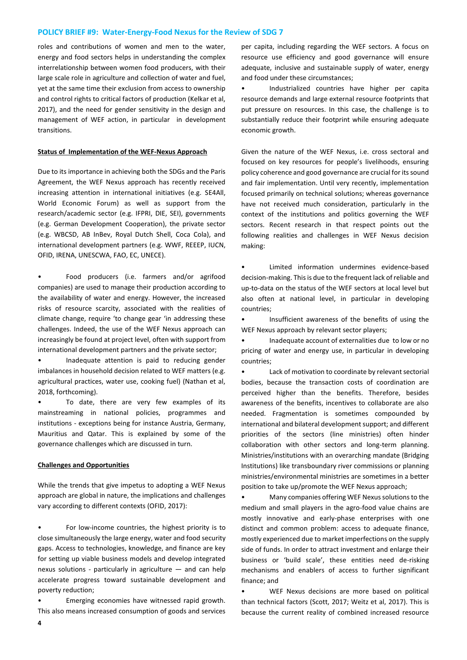roles and contributions of women and men to the water, energy and food sectors helps in understanding the complex interrelationship between women food producers, with their large scale role in agriculture and collection of water and fuel, yet at the same time their exclusion from access to ownership and control rights to critical factors of production (Kelkar et al, 2017), and the need for gender sensitivity in the design and management of WEF action, in particular in development transitions.

### **Status of Implementation of the WEF-Nexus Approach**

Due to its importance in achieving both the SDGs and the Paris Agreement, the WEF Nexus approach has recently received increasing attention in international initiatives (e.g. SE4All, World Economic Forum) as well as support from the research/academic sector (e.g. IFPRI, DIE, SEI), governments (e.g. German Development Cooperation), the private sector (e.g. WBCSD, AB InBev, Royal Dutch Shell, Coca Cola), and international development partners (e.g. WWF, REEEP, IUCN, OFID, IRENA, UNESCWA, FAO, EC, UNECE).

• Food producers (i.e. farmers and/or agrifood companies) are used to manage their production according to the availability of water and energy. However, the increased risks of resource scarcity, associated with the realities of climate change, require 'to change gear 'in addressing these challenges. Indeed, the use of the WEF Nexus approach can increasingly be found at project level, often with support from international development partners and the private sector;

Inadequate attention is paid to reducing gender imbalances in household decision related to WEF matters (e.g. agricultural practices, water use, cooking fuel) (Nathan et al, 2018, forthcoming).

• To date, there are very few examples of its mainstreaming in national policies, programmes and institutions - exceptions being for instance Austria, Germany, Mauritius and Qatar. This is explained by some of the governance challenges which are discussed in turn.

#### **Challenges and Opportunities**

While the trends that give impetus to adopting a WEF Nexus approach are global in nature, the implications and challenges vary according to different contexts (OFID, 2017):

For low-income countries, the highest priority is to close simultaneously the large energy, water and food security gaps. Access to technologies, knowledge, and finance are key for setting up viable business models and develop integrated nexus solutions - particularly in agriculture — and can help accelerate progress toward sustainable development and poverty reduction;

• Emerging economies have witnessed rapid growth. This also means increased consumption of goods and services

per capita, including regarding the WEF sectors. A focus on resource use efficiency and good governance will ensure adequate, inclusive and sustainable supply of water, energy and food under these circumstances;

• Industrialized countries have higher per capita resource demands and large external resource footprints that put pressure on resources. In this case, the challenge is to substantially reduce their footprint while ensuring adequate economic growth.

Given the nature of the WEF Nexus, i.e. cross sectoral and focused on key resources for people's livelihoods, ensuring policy coherence and good governance are crucial for its sound and fair implementation. Until very recently, implementation focused primarily on technical solutions; whereas governance have not received much consideration, particularly in the context of the institutions and politics governing the WEF sectors. Recent research in that respect points out the following realities and challenges in WEF Nexus decision making:

• Limited information undermines evidence-based decision-making. This is due to the frequent lack of reliable and up-to-data on the status of the WEF sectors at local level but also often at national level, in particular in developing countries;

Insufficient awareness of the benefits of using the WEF Nexus approach by relevant sector players;

• Inadequate account of externalities due to low or no pricing of water and energy use, in particular in developing countries;

Lack of motivation to coordinate by relevant sectorial bodies, because the transaction costs of coordination are perceived higher than the benefits. Therefore, besides awareness of the benefits, incentives to collaborate are also needed. Fragmentation is sometimes compounded by international and bilateral development support; and different priorities of the sectors (line ministries) often hinder collaboration with other sectors and long-term planning. Ministries/institutions with an overarching mandate (Bridging Institutions) like transboundary river commissions or planning ministries/environmental ministries are sometimes in a better position to take up/promote the WEF Nexus approach;

• Many companies offering WEF Nexus solutions to the medium and small players in the agro-food value chains are mostly innovative and early-phase enterprises with one distinct and common problem: access to adequate finance, mostly experienced due to market imperfections on the supply side of funds. In order to attract investment and enlarge their business or 'build scale', these entities need de-risking mechanisms and enablers of access to further significant finance; and

• WEF Nexus decisions are more based on political than technical factors (Scott, 2017; Weitz et al, 2017). This is because the current reality of combined increased resource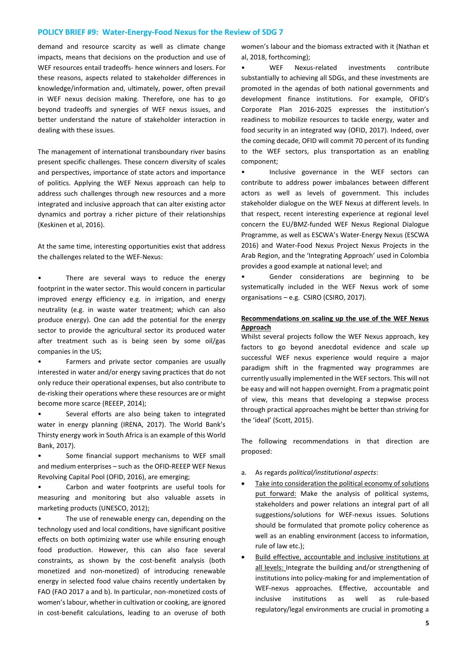demand and resource scarcity as well as climate change impacts, means that decisions on the production and use of WEF resources entail tradeoffs- hence winners and losers. For these reasons, aspects related to stakeholder differences in knowledge/information and, ultimately, power, often prevail in WEF nexus decision making. Therefore, one has to go beyond tradeoffs and synergies of WEF nexus issues, and better understand the nature of stakeholder interaction in dealing with these issues.

The management of international transboundary river basins present specific challenges. These concern diversity of scales and perspectives, importance of state actors and importance of politics. Applying the WEF Nexus approach can help to address such challenges through new resources and a more integrated and inclusive approach that can alter existing actor dynamics and portray a richer picture of their relationships (Keskinen et al, 2016).

At the same time, interesting opportunities exist that address the challenges related to the WEF-Nexus:

There are several ways to reduce the energy footprint in the water sector. This would concern in particular improved energy efficiency e.g. in irrigation, and energy neutrality (e.g. in waste water treatment; which can also produce energy). One can add the potential for the energy sector to provide the agricultural sector its produced water after treatment such as is being seen by some oil/gas companies in the US;

• Farmers and private sector companies are usually interested in water and/or energy saving practices that do not only reduce their operational expenses, but also contribute to de-risking their operations where these resources are or might become more scarce (REEEP, 2014);

Several efforts are also being taken to integrated water in energy planning (IRENA, 2017). The World Bank's Thirsty energy work in South Africa is an example of this World Bank, 2017).

Some financial support mechanisms to WEF small and medium enterprises – such as the OFID-REEEP WEF Nexus Revolving Capital Pool (OFID, 2016), are emerging;

Carbon and water footprints are useful tools for measuring and monitoring but also valuable assets in marketing products (UNESCO, 2012);

The use of renewable energy can, depending on the technology used and local conditions, have significant positive effects on both optimizing water use while ensuring enough food production. However, this can also face several constraints, as shown by the cost-benefit analysis (both monetized and non-monetized) of introducing renewable energy in selected food value chains recently undertaken by FAO (FAO 2017 a and b). In particular, non-monetized costs of women's labour, whether in cultivation or cooking, are ignored in cost-benefit calculations, leading to an overuse of both

women's labour and the biomass extracted with it (Nathan et al, 2018, forthcoming);

• WEF Nexus-related investments contribute substantially to achieving all SDGs, and these investments are promoted in the agendas of both national governments and development finance institutions. For example, OFID's Corporate Plan 2016-2025 expresses the institution's readiness to mobilize resources to tackle energy, water and food security in an integrated way (OFID, 2017). Indeed, over the coming decade, OFID will commit 70 percent of its funding to the WEF sectors, plus transportation as an enabling component;

• Inclusive governance in the WEF sectors can contribute to address power imbalances between different actors as well as levels of government. This includes stakeholder dialogue on the WEF Nexus at different levels. In that respect, recent interesting experience at regional level concern the EU/BMZ-funded WEF Nexus Regional Dialogue Programme, as well as ESCWA's Water-Energy Nexus (ESCWA 2016) and Water-Food Nexus Project Nexus Projects in the Arab Region, and the 'Integrating Approach' used in Colombia provides a good example at national level; and

Gender considerations are beginning to be systematically included in the WEF Nexus work of some organisations – e.g. CSIRO (CSIRO, 2017).

### **Recommendations on scaling up the use of the WEF Nexus Approach**

Whilst several projects follow the WEF Nexus approach, key factors to go beyond anecdotal evidence and scale up successful WEF nexus experience would require a major paradigm shift in the fragmented way programmes are currently usually implemented in the WEF sectors. This will not be easy and will not happen overnight. From a pragmatic point of view, this means that developing a stepwise process through practical approaches might be better than striving for the 'ideal' (Scott, 2015).

The following recommendations in that direction are proposed:

- a. As regards *political/institutional aspects*:
- Take into consideration the political economy of solutions put forward: Make the analysis of political systems, stakeholders and power relations an integral part of all suggestions/solutions for WEF-nexus issues. Solutions should be formulated that promote policy coherence as well as an enabling environment (access to information, rule of law etc.);
- Build effective, accountable and inclusive institutions at all levels: Integrate the building and/or strengthening of institutions into policy-making for and implementation of WEF-nexus approaches. Effective, accountable and inclusive institutions as well as rule-based regulatory/legal environments are crucial in promoting a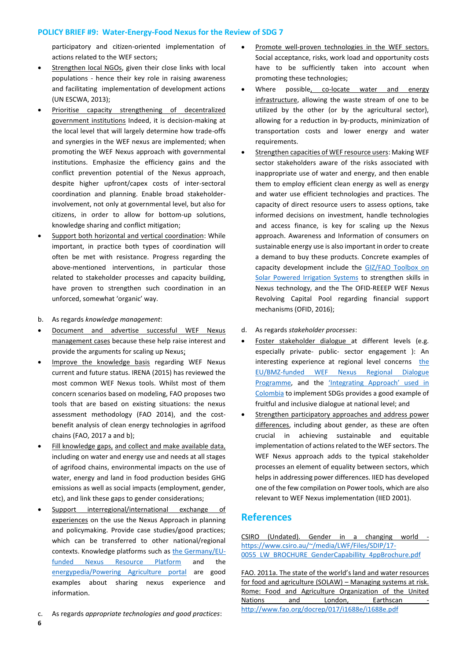participatory and citizen-oriented implementation of actions related to the WEF sectors;

- Strengthen local NGOs, given their close links with local populations - hence their key role in raising awareness and facilitating implementation of development actions (UN ESCWA, 2013);
- Prioritise capacity strengthening of decentralized government institutions Indeed, it is decision-making at the local level that will largely determine how trade-offs and synergies in the WEF nexus are implemented; when promoting the WEF Nexus approach with governmental institutions. Emphasize the efficiency gains and the conflict prevention potential of the Nexus approach, despite higher upfront/capex costs of inter-sectoral coordination and planning. Enable broad stakeholderinvolvement, not only at governmental level, but also for citizens, in order to allow for bottom-up solutions, knowledge sharing and conflict mitigation;
- Support both horizontal and vertical coordination: While important, in practice both types of coordination will often be met with resistance. Progress regarding the above-mentioned interventions, in particular those related to stakeholder processes and capacity building, have proven to strengthen such coordination in an unforced, somewhat 'organic' way.
- b. As regards *knowledge management*:
- Document and advertise successful WEF Nexus management cases because these help raise interest and provide the arguments for scaling up Nexus;
- Improve the knowledge basis regarding WEF Nexus current and future status. IRENA (2015) has reviewed the most common WEF Nexus tools. Whilst most of them concern scenarios based on modeling, FAO proposes two tools that are based on existing situations: the nexus assessment methodology (FAO 2014), and the costbenefit analysis of clean energy technologies in agrifood chains (FAO, 2017 a and b);
- Fill knowledge gaps, and collect and make available data, including on water and energy use and needs at all stages of agrifood chains, environmental impacts on the use of water, energy and land in food production besides GHG emissions as well as social impacts (employment, gender, etc), and link these gaps to gender considerations;
- Support interregional/international exchange of experiences on the use the Nexus Approach in planning and policymaking. Provide case studies/good practices; which can be transferred to other national/regional contexts. Knowledge platforms such as the [Germany/EU](https://www.water-energy-food.org/about/introduction/)[funded Nexus Resource Platform](https://www.water-energy-food.org/about/introduction/) and the [energypedia/Powering Agriculture portal](https://energypedia.info/wiki/Portal:Powering_Agriculture) are good examples about sharing nexus experience and information.
- c. As regards *appropriate technologies and good practices*:

**6**

- Promote well-proven technologies in the WEF sectors. Social acceptance, risks, work load and opportunity costs have to be sufficiently taken into account when promoting these technologies;
- Where possible, co-locate water and energy infrastructure, allowing the waste stream of one to be utilized by the other (or by the agricultural sector), allowing for a reduction in by-products, minimization of transportation costs and lower energy and water requirements.
- Strengthen capacities of WEF resource users: Making WEF sector stakeholders aware of the risks associated with inappropriate use of water and energy, and then enable them to employ efficient clean energy as well as energy and water use efficient technologies and practices. The capacity of direct resource users to assess options, take informed decisions on investment, handle technologies and access finance, is key for scaling up the Nexus approach. Awareness and Information of consumers on sustainable energy use is also important in order to create a demand to buy these products. Concrete examples of capacity development include the [GIZ/FAO Toolbox on](https://energypedia.info/wiki/Toolbox_on_SPIS)  [Solar Powered Irrigation Systems](https://energypedia.info/wiki/Toolbox_on_SPIS) to strengthen skills in Nexus technology, and the The OFID-REEEP WEF Nexus Revolving Capital Pool regarding financial support mechanisms (OFID, 2016);
- d. As regards *stakeholder processes*:
- Foster stakeholder dialogue at different levels (e.g. especially private- public- sector engagement ): An interesting experience at regional level concerns the [EU/BMZ-funded WEF Nexus Regional Dialogue](https://www.nexus-dialogue-programme.eu/about/nexus-regional-dialogue-programme/)  [Programme,](https://www.nexus-dialogue-programme.eu/about/nexus-regional-dialogue-programme/) and the ['Integrating Approach' used in](http://communitascoalition.org/pdf/Integrating_Approach_7OCT2013.pdf)  [Colombia](http://communitascoalition.org/pdf/Integrating_Approach_7OCT2013.pdf) to implement SDGs provides a good example of fruitful and inclusive dialogue at national level; and
- Strengthen participatory approaches and address power differences, including about gender, as these are often crucial in achieving sustainable and equitable implementation of actions related to the WEF sectors. The WEF Nexus approach adds to the typical stakeholder processes an element of equality between sectors, which helps in addressing power differences. IIED has developed one of the few compilation on Power tools, which are also relevant to WEF Nexus implementation (IIED 2001).

# **References**

CSIRO (Undated). Gender in a changing world [https://www.csiro.au/~/media/LWF/Files/SDIP/17-](https://www.csiro.au/~/media/LWF/Files/SDIP/17-0055_LW_BROCHURE_GenderCapabillity_4ppBrochure.pdf) 0055 LW\_BROCHURE\_GenderCapabillity\_4ppBrochure.pdf

FAO. 2011a. The state of the world's land and water resources for food and agriculture (SOLAW) – Managing systems at risk. Rome: Food and Agriculture Organization of the United Nations and London, Earthscan <http://www.fao.org/docrep/017/i1688e/i1688e.pdf>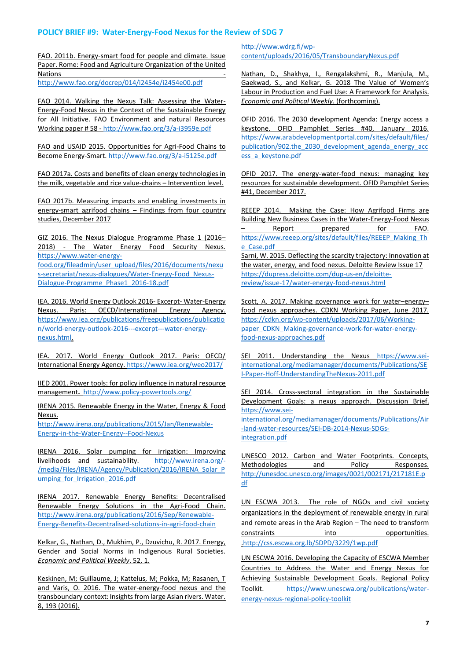FAO. 2011b. Energy-smart food for people and climate. Issue Paper. Rome: Food and Agriculture Organization of the United <u>Nations and the community of the community of the community of the community of the community of the community of the community of the community of the community of the community of the community of the community of the c</u>

<http://www.fao.org/docrep/014/i2454e/i2454e00.pdf>

FAO 2014. Walking the Nexus Talk: Assessing the Water-Energy-Food Nexus in the Context of the Sustainable Energy for All Initiative. FAO Environment and natural Resources Working paper # 58 - <http://www.fao.org/3/a-i3959e.pdf>

FAO and USAID 2015. Opportunities for Agri-Food Chains to Become Energy-Smart[. http://www.fao.org/3/a-i5125e.pdf](http://www.fao.org/3/a-i5125e.pdf)

FAO 2017a. Costs and benefits of clean energy technologies in the milk, vegetable and rice value-chains – Intervention level.

FAO 2017b. Measuring impacts and enabling investments in energy-smart agrifood chains – Findings from four country studies, December 2017

GIZ 2016. The Nexus Dialogue Programme Phase 1 (2016– 2018) - The Water Energy Food Security Nexus. [https://www.water-energy](https://www.water-energy-food.org/fileadmin/user_upload/files/2016/documents/nexus-secretariat/nexus-dialogues/Water-Energy-Food_Nexus-Dialogue-Programme_Phase1_2016-18.pdf)[food.org/fileadmin/user\\_upload/files/2016/documents/nexu](https://www.water-energy-food.org/fileadmin/user_upload/files/2016/documents/nexus-secretariat/nexus-dialogues/Water-Energy-Food_Nexus-Dialogue-Programme_Phase1_2016-18.pdf) [s-secretariat/nexus-dialogues/Water-Energy-Food\\_Nexus-](https://www.water-energy-food.org/fileadmin/user_upload/files/2016/documents/nexus-secretariat/nexus-dialogues/Water-Energy-Food_Nexus-Dialogue-Programme_Phase1_2016-18.pdf)

[Dialogue-Programme\\_Phase1\\_2016-18.pdf](https://www.water-energy-food.org/fileadmin/user_upload/files/2016/documents/nexus-secretariat/nexus-dialogues/Water-Energy-Food_Nexus-Dialogue-Programme_Phase1_2016-18.pdf)

IEA. 2016. World Energy Outlook 2016- Excerpt- Water-Energy Nexus. Paris: OECD/International Energy Agency. [https://www.iea.org/publications/freepublications/publicatio](https://www.iea.org/publications/freepublications/publication/world-energy-outlook-2016---excerpt---water-energy-nexus.html) [n/world-energy-outlook-2016---excerpt---water-energy](https://www.iea.org/publications/freepublications/publication/world-energy-outlook-2016---excerpt---water-energy-nexus.html)[nexus.html.](https://www.iea.org/publications/freepublications/publication/world-energy-outlook-2016---excerpt---water-energy-nexus.html)

IEA. 2017. World Energy Outlook 2017. Paris: OECD/ International Energy Agency[. https://www.iea.org/weo2017/](https://www.iea.org/weo2017/)

IIED 2001. Power tools: for policy influence in natural resource management**.** <http://www.policy-powertools.org/>

IRENA 2015. Renewable Energy in the Water, Energy & Food Nexus.

[http://www.irena.org/publications/2015/Jan/Renewable-](http://www.irena.org/publications/2015/Jan/Renewable-Energy-in-the-Water-Energy--Food-Nexus)[Energy-in-the-Water-Energy--Food-Nexus](http://www.irena.org/publications/2015/Jan/Renewable-Energy-in-the-Water-Energy--Food-Nexus)

IRENA 2016. Solar pumping for irrigation: Improving livelihoods and sustainability. [http://www.irena.org/-](http://www.irena.org/-/media/Files/IRENA/Agency/Publication/2016/IRENA_Solar_Pumping_for_Irrigation_2016.pdf) [/media/Files/IRENA/Agency/Publication/2016/IRENA\\_Solar\\_P](http://www.irena.org/-/media/Files/IRENA/Agency/Publication/2016/IRENA_Solar_Pumping_for_Irrigation_2016.pdf) umping for Irrigation 2016.pdf

IRENA 2017. Renewable Energy Benefits: Decentralised Renewable Energy Solutions in the Agri-Food Chain. [http://www.irena.org/publications/2016/Sep/Renewable-](http://www.irena.org/publications/2016/Sep/Renewable-Energy-Benefits-Decentralised-solutions-in-agri-food-chain)[Energy-Benefits-Decentralised-solutions-in-agri-food-chain](http://www.irena.org/publications/2016/Sep/Renewable-Energy-Benefits-Decentralised-solutions-in-agri-food-chain)

Kelkar, G., Nathan, D., Mukhim, P., Dzuvichu, R. 2017. Energy, Gender and Social Norms in Indigenous Rural Societies. *Economic and Political Weekly*. 52, 1.

Keskinen, M; Guillaume, J; Kattelus, M; Pokka, M; Rasanen, T and Varis, O. 2016. The water-energy-food nexus and the transboundary context: Insights from large Asian rivers. Water. 8, 193 (2016).

[http://www.wdrg.fi/wp](http://www.wdrg.fi/wp-content/uploads/2016/05/TransboundaryNexus.pdf)[content/uploads/2016/05/TransboundaryNexus.pdf](http://www.wdrg.fi/wp-content/uploads/2016/05/TransboundaryNexus.pdf)

Nathan, D., Shakhya, I., Rengalakshmi, R., Manjula, M., Gaekwad, S., and Kelkar, G. 2018 The Value of Women's Labour in Production and Fuel Use: A Framework for Analysis. *Economic and Political Weekly.* (forthcoming).

OFID 2016. The 2030 development Agenda: Energy access a keystone. OFID Pamphlet Series #40, January 2016. [https://www.arabdevelopmentportal.com/sites/default/files/](https://www.arabdevelopmentportal.com/sites/default/files/publication/902.the_2030_development_agenda_energy_access_a_keystone.pdf) [publication/902.the\\_2030\\_development\\_agenda\\_energy\\_acc](https://www.arabdevelopmentportal.com/sites/default/files/publication/902.the_2030_development_agenda_energy_access_a_keystone.pdf) [ess\\_a\\_keystone.pdf](https://www.arabdevelopmentportal.com/sites/default/files/publication/902.the_2030_development_agenda_energy_access_a_keystone.pdf)

OFID 2017. The energy-water-food nexus: managing key resources for sustainable development. OFID Pamphlet Series #41, December 2017.

REEEP 2014. Making the Case: How Agrifood Firms are Building New Business Cases in the Water-Energy-Food Nexus Report prepared for FAO. [https://www.reeep.org/sites/default/files/REEEP\\_Making\\_Th](https://www.reeep.org/sites/default/files/REEEP_Making_The_Case.pdf) [e\\_Case.pdf](https://www.reeep.org/sites/default/files/REEEP_Making_The_Case.pdf)

Sarni, W. 2015. Deflecting the scarcity trajectory: Innovation at the water, energy, and food nexus. Deloitte Review Issue 17 [https://dupress.deloitte.com/dup-us-en/deloitte](https://dupress.deloitte.com/dup-us-en/deloitte-review/issue-17/water-energy-food-nexus.html)[review/issue-17/water-energy-food-nexus.html](https://dupress.deloitte.com/dup-us-en/deloitte-review/issue-17/water-energy-food-nexus.html)

Scott, A. 2017. Making governance work for water–energy– food nexus approaches. CDKN Working Paper, June 2017. [https://cdkn.org/wp-content/uploads/2017/06/Working](https://cdkn.org/wp-content/uploads/2017/06/Working-paper_CDKN_Making-governance-work-for-water-energy-food-nexus-approaches.pdf)[paper\\_CDKN\\_Making-governance-work-for-water-energy](https://cdkn.org/wp-content/uploads/2017/06/Working-paper_CDKN_Making-governance-work-for-water-energy-food-nexus-approaches.pdf)[food-nexus-approaches.pdf](https://cdkn.org/wp-content/uploads/2017/06/Working-paper_CDKN_Making-governance-work-for-water-energy-food-nexus-approaches.pdf)

SEI 2011. Understanding the Nexus [https://www.sei](https://www.sei-international.org/mediamanager/documents/Publications/SEI-Paper-Hoff-UnderstandingTheNexus-2011.pdf)[international.org/mediamanager/documents/Publications/SE](https://www.sei-international.org/mediamanager/documents/Publications/SEI-Paper-Hoff-UnderstandingTheNexus-2011.pdf) [I-Paper-Hoff-UnderstandingTheNexus-2011.pdf](https://www.sei-international.org/mediamanager/documents/Publications/SEI-Paper-Hoff-UnderstandingTheNexus-2011.pdf)

SEI 2014. Cross-sectoral integration in the Sustainable Development Goals: a nexus approach. Discussion Brief. [https://www.sei-](https://www.sei-international.org/mediamanager/documents/Publications/Air-land-water-resources/SEI-DB-2014-Nexus-SDGs-integration.pdf)

[international.org/mediamanager/documents/Publications/Air](https://www.sei-international.org/mediamanager/documents/Publications/Air-land-water-resources/SEI-DB-2014-Nexus-SDGs-integration.pdf) [-land-water-resources/SEI-DB-2014-Nexus-SDGs](https://www.sei-international.org/mediamanager/documents/Publications/Air-land-water-resources/SEI-DB-2014-Nexus-SDGs-integration.pdf)[integration.pdf](https://www.sei-international.org/mediamanager/documents/Publications/Air-land-water-resources/SEI-DB-2014-Nexus-SDGs-integration.pdf)

UNESCO 2012. Carbon and Water Footprints. Concepts, Methodologies and Policy Responses. [http://unesdoc.unesco.org/images/0021/002171/217181E.p](http://unesdoc.unesco.org/images/0021/002171/217181E.pdf) [df](http://unesdoc.unesco.org/images/0021/002171/217181E.pdf)

UN ESCWA 2013. The role of NGOs and civil society organizations in the deployment of renewable energy in rural and remote areas in the Arab Region – The need to transform constraints into opportunities. [.http://css.escwa.org.lb/SDPD/3229/1wp.pdf](http://css.escwa.org.lb/SDPD/3229/1wp.pdf)

UN ESCWA 2016. Developing the Capacity of ESCWA Member Countries to Address the Water and Energy Nexus for Achieving Sustainable Development Goals. Regional Policy Toolkit. [https://www.unescwa.org/publications/water](https://www.unescwa.org/publications/water-energy-nexus-regional-policy-toolkit)[energy-nexus-regional-policy-toolkit](https://www.unescwa.org/publications/water-energy-nexus-regional-policy-toolkit)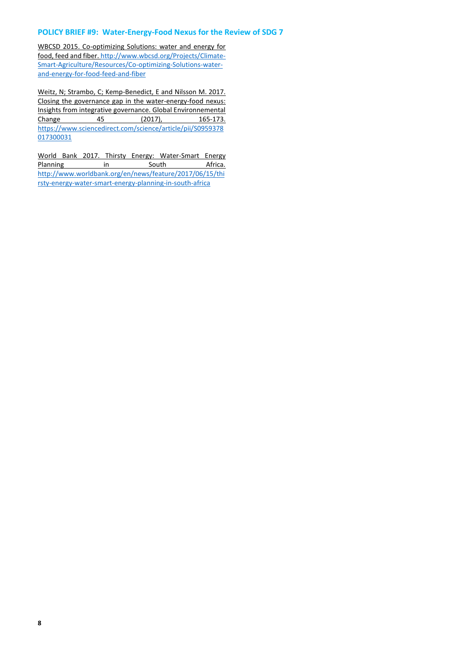WBCSD 2015. Co-optimizing Solutions: water and energy for food, feed and fiber[. http://www.wbcsd.org/Projects/Climate-](http://www.wbcsd.org/Projects/Climate-Smart-Agriculture/Resources/Co-optimizing-Solutions-water-and-energy-for-food-feed-and-fiber)[Smart-Agriculture/Resources/Co-optimizing-Solutions-water](http://www.wbcsd.org/Projects/Climate-Smart-Agriculture/Resources/Co-optimizing-Solutions-water-and-energy-for-food-feed-and-fiber)[and-energy-for-food-feed-and-fiber](http://www.wbcsd.org/Projects/Climate-Smart-Agriculture/Resources/Co-optimizing-Solutions-water-and-energy-for-food-feed-and-fiber)

Weitz, N; Strambo, C; Kemp-Benedict, E and Nilsson M. 2017. Closing the governance gap in the water-energy-food nexus: Insights from integrative governance. Global Environnemental<br>Change 45 (2017), 165-173. Change 45 (2017), 165-173. [https://www.sciencedirect.com/science/article/pii/S0959378](https://www.sciencedirect.com/science/article/pii/S0959378017300031) [017300031](https://www.sciencedirect.com/science/article/pii/S0959378017300031)

World Bank 2017. Thirsty Energy: Water-Smart Energy Planning in in South Africa. [http://www.worldbank.org/en/news/feature/2017/06/15/thi](http://www.worldbank.org/en/news/feature/2017/06/15/thirsty-energy-water-smart-energy-planning-in-south-africa) [rsty-energy-water-smart-energy-planning-in-south-africa](http://www.worldbank.org/en/news/feature/2017/06/15/thirsty-energy-water-smart-energy-planning-in-south-africa)